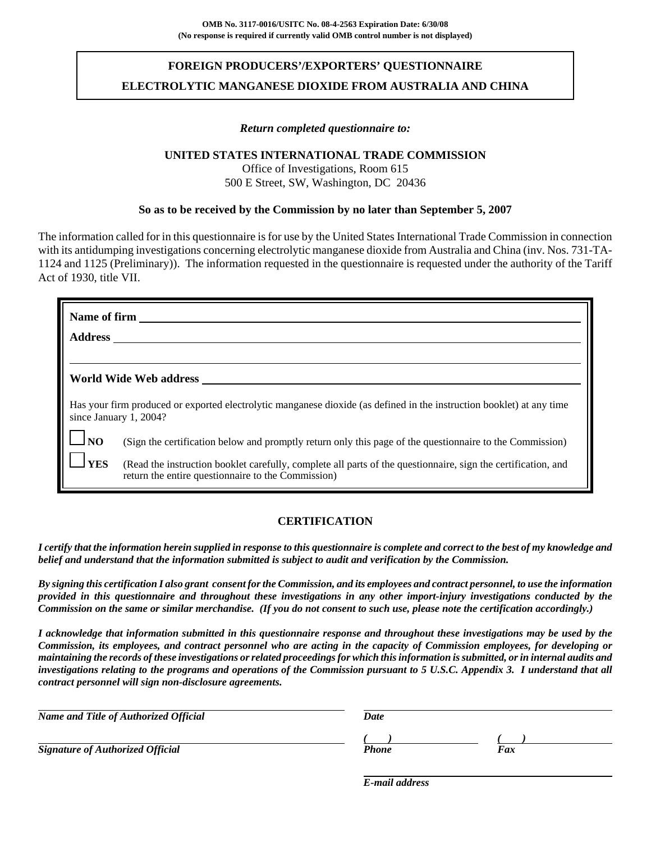# **FOREIGN PRODUCERS'/EXPORTERS' QUESTIONNAIRE ELECTROLYTIC MANGANESE DIOXIDE FROM AUSTRALIA AND CHINA**

### *Return completed questionnaire to:*

### **UNITED STATES INTERNATIONAL TRADE COMMISSION**

Office of Investigations, Room 615 500 E Street, SW, Washington, DC 20436

### **So as to be received by the Commission by no later than September 5, 2007**

The information called for in this questionnaire is for use by the United States International Trade Commission in connection with its antidumping investigations concerning electrolytic manganese dioxide from Australia and China (inv. Nos. 731-TA-1124 and 1125 (Preliminary)). The information requested in the questionnaire is requested under the authority of the Tariff Act of 1930, title VII.

| Name of firm   |                                                                                                                                                                     |
|----------------|---------------------------------------------------------------------------------------------------------------------------------------------------------------------|
| <b>Address</b> |                                                                                                                                                                     |
|                |                                                                                                                                                                     |
|                | World Wide Web address                                                                                                                                              |
|                | Has your firm produced or exported electrolytic manganese dioxide (as defined in the instruction booklet) at any time<br>since January 1, 2004?                     |
| N <sub>O</sub> | (Sign the certification below and promptly return only this page of the questionnaire to the Commission)                                                            |
| <b>YES</b>     | (Read the instruction booklet carefully, complete all parts of the questionnaire, sign the certification, and<br>return the entire questionnaire to the Commission) |

### **CERTIFICATION**

*I certify that the information herein supplied in response to this questionnaire is complete and correct to the best of my knowledge and belief and understand that the information submitted is subject to audit and verification by the Commission.*

*By signing this certification I also grant consent for the Commission, and its employees and contract personnel, to use the information provided in this questionnaire and throughout these investigations in any other import-injury investigations conducted by the Commission on the same or similar merchandise. (If you do not consent to such use, please note the certification accordingly.)*

*I acknowledge that information submitted in this questionnaire response and throughout these investigations may be used by the Commission, its employees, and contract personnel who are acting in the capacity of Commission employees, for developing or maintaining the records of these investigations or related proceedings for which this information is submitted, or in internal audits and investigations relating to the programs and operations of the Commission pursuant to 5 U.S.C. Appendix 3. I understand that all contract personnel will sign non-disclosure agreements.*

| Name and Title of Authorized Official   | Date  |     |  |  |
|-----------------------------------------|-------|-----|--|--|
| <b>Signature of Authorized Official</b> | Phone | Fax |  |  |

*E-mail address*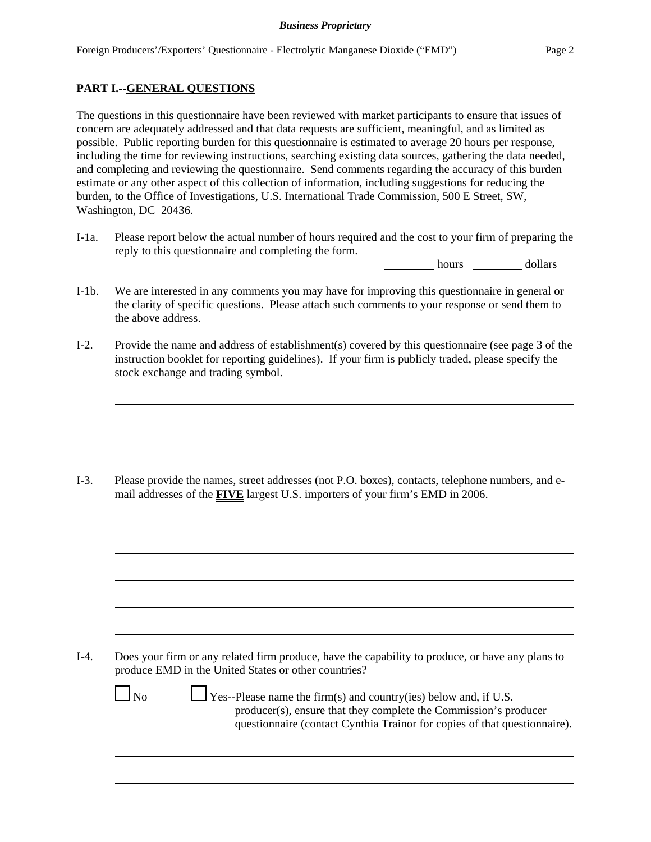### **PART I.--GENERAL QUESTIONS**

The questions in this questionnaire have been reviewed with market participants to ensure that issues of concern are adequately addressed and that data requests are sufficient, meaningful, and as limited as possible. Public reporting burden for this questionnaire is estimated to average 20 hours per response, including the time for reviewing instructions, searching existing data sources, gathering the data needed, and completing and reviewing the questionnaire. Send comments regarding the accuracy of this burden estimate or any other aspect of this collection of information, including suggestions for reducing the burden, to the Office of Investigations, U.S. International Trade Commission, 500 E Street, SW, Washington, DC 20436.

I-1a. Please report below the actual number of hours required and the cost to your firm of preparing the reply to this questionnaire and completing the form.

hours dollars

- I-1b. We are interested in any comments you may have for improving this questionnaire in general or the clarity of specific questions. Please attach such comments to your response or send them to the above address.
- I-2. Provide the name and address of establishment(s) covered by this questionnaire (see page 3 of the instruction booklet for reporting guidelines). If your firm is publicly traded, please specify the stock exchange and trading symbol.

I-3. Please provide the names, street addresses (not P.O. boxes), contacts, telephone numbers, and email addresses of the **FIVE** largest U.S. importers of your firm's EMD in 2006.

I-4. Does your firm or any related firm produce, have the capability to produce, or have any plans to produce EMD in the United States or other countries?

 $\Box$  No  $\Box$  Yes--Please name the firm(s) and country(ies) below and, if U.S. producer(s), ensure that they complete the Commission's producer questionnaire (contact Cynthia Trainor for copies of that questionnaire).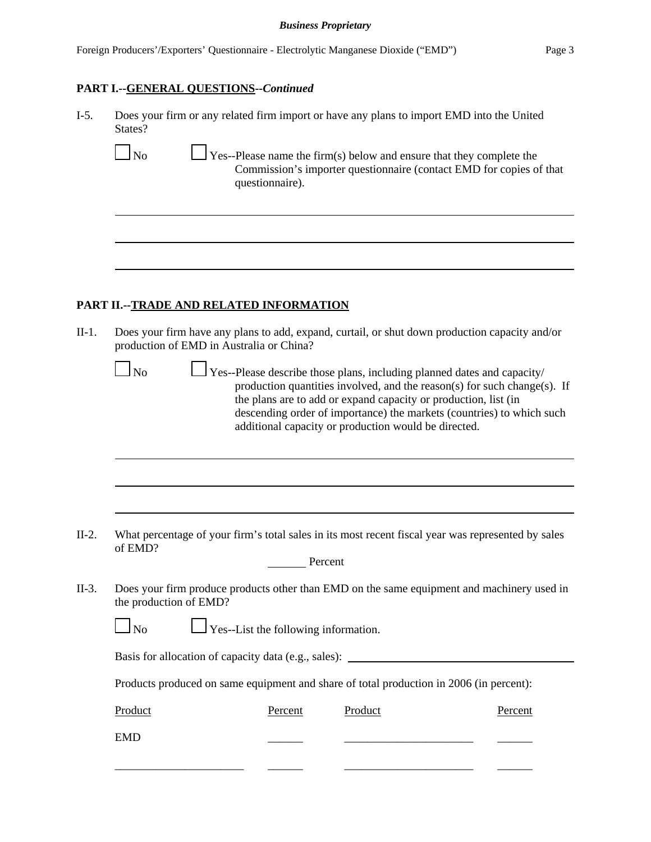#### *Business Proprietary*

# **PART I.--GENERAL QUESTIONS--***Continued*

| $I-5.$  | Does your firm or any related firm import or have any plans to import EMD into the United<br>States?                                                                                                                                                                                                                                                              |  |  |  |  |  |
|---------|-------------------------------------------------------------------------------------------------------------------------------------------------------------------------------------------------------------------------------------------------------------------------------------------------------------------------------------------------------------------|--|--|--|--|--|
|         | $\Box$ No<br>$\frac{1}{2}$ Yes--Please name the firm(s) below and ensure that they complete the<br>Commission's importer questionnaire (contact EMD for copies of that<br>questionnaire).                                                                                                                                                                         |  |  |  |  |  |
|         |                                                                                                                                                                                                                                                                                                                                                                   |  |  |  |  |  |
|         |                                                                                                                                                                                                                                                                                                                                                                   |  |  |  |  |  |
|         | PART II.--TRADE AND RELATED INFORMATION                                                                                                                                                                                                                                                                                                                           |  |  |  |  |  |
| $II-1.$ | Does your firm have any plans to add, expand, curtail, or shut down production capacity and/or<br>production of EMD in Australia or China?                                                                                                                                                                                                                        |  |  |  |  |  |
|         | $\log$<br>Yes--Please describe those plans, including planned dates and capacity/<br>production quantities involved, and the reason(s) for such change(s). If<br>the plans are to add or expand capacity or production, list (in<br>descending order of importance) the markets (countries) to which such<br>additional capacity or production would be directed. |  |  |  |  |  |
|         |                                                                                                                                                                                                                                                                                                                                                                   |  |  |  |  |  |
|         |                                                                                                                                                                                                                                                                                                                                                                   |  |  |  |  |  |
| $II-2.$ | What percentage of your firm's total sales in its most recent fiscal year was represented by sales<br>of EMD?                                                                                                                                                                                                                                                     |  |  |  |  |  |

| Percent |
|---------|
|         |

II-3. Does your firm produce products other than EMD on the same equipment and machinery used in the production of EMD?

| N <sub>0</sub> | $\Box$ Yes--List the following information. |
|----------------|---------------------------------------------|
|----------------|---------------------------------------------|

Basis for allocation of capacity data (e.g., sales):

Products produced on same equipment and share of total production in 2006 (in percent):

| Product    | Percent | Product | Percent |
|------------|---------|---------|---------|
| <b>EMD</b> |         |         |         |
|            |         |         |         |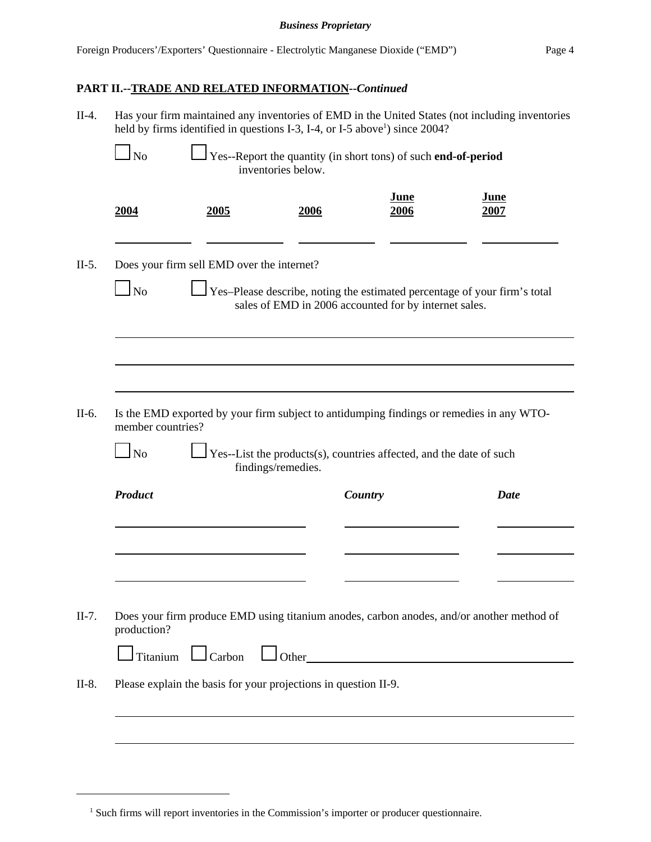#### *Business Proprietary*

# **PART II.--TRADE AND RELATED INFORMATION--***Continued*

| $II-4.$                                                                                                                                         | Has your firm maintained any inventories of EMD in the United States (not including inventories<br>held by firms identified in questions I-3, I-4, or I-5 above <sup>1</sup> ) since 2004? |                                            |                                                                 |                                       |                                                                                           |  |  |  |
|-------------------------------------------------------------------------------------------------------------------------------------------------|--------------------------------------------------------------------------------------------------------------------------------------------------------------------------------------------|--------------------------------------------|-----------------------------------------------------------------|---------------------------------------|-------------------------------------------------------------------------------------------|--|--|--|
| Yes--Report the quantity (in short tons) of such end-of-period<br>$\Box$ No<br>inventories below.                                               |                                                                                                                                                                                            |                                            |                                                                 |                                       |                                                                                           |  |  |  |
|                                                                                                                                                 | 2004                                                                                                                                                                                       | 2005                                       | 2006                                                            | <b>June</b><br>2006                   | <b>June</b><br>2007                                                                       |  |  |  |
| $II-5.$                                                                                                                                         |                                                                                                                                                                                            | Does your firm sell EMD over the internet? |                                                                 |                                       |                                                                                           |  |  |  |
| Yes-Please describe, noting the estimated percentage of your firm's total<br><b>No</b><br>sales of EMD in 2006 accounted for by internet sales. |                                                                                                                                                                                            |                                            |                                                                 |                                       |                                                                                           |  |  |  |
|                                                                                                                                                 |                                                                                                                                                                                            |                                            |                                                                 |                                       |                                                                                           |  |  |  |
| II-6.                                                                                                                                           | member countries?                                                                                                                                                                          |                                            |                                                                 |                                       | Is the EMD exported by your firm subject to antidumping findings or remedies in any WTO-  |  |  |  |
|                                                                                                                                                 | $\Box$ No<br>$\sqrt{Y}$ Yes--List the products(s), countries affected, and the date of such<br>findings/remedies.                                                                          |                                            |                                                                 |                                       |                                                                                           |  |  |  |
|                                                                                                                                                 | <b>Product</b>                                                                                                                                                                             |                                            |                                                                 | Country                               | Date                                                                                      |  |  |  |
|                                                                                                                                                 |                                                                                                                                                                                            |                                            |                                                                 |                                       |                                                                                           |  |  |  |
|                                                                                                                                                 |                                                                                                                                                                                            |                                            |                                                                 |                                       |                                                                                           |  |  |  |
| $II-7.$                                                                                                                                         | production?                                                                                                                                                                                |                                            |                                                                 |                                       | Does your firm produce EMD using titanium anodes, carbon anodes, and/or another method of |  |  |  |
|                                                                                                                                                 |                                                                                                                                                                                            |                                            |                                                                 | $Titanium$ $\Box$ Carbon $\Box$ Other |                                                                                           |  |  |  |
| $II-8.$                                                                                                                                         |                                                                                                                                                                                            |                                            | Please explain the basis for your projections in question II-9. |                                       |                                                                                           |  |  |  |
|                                                                                                                                                 |                                                                                                                                                                                            |                                            |                                                                 |                                       |                                                                                           |  |  |  |
|                                                                                                                                                 |                                                                                                                                                                                            |                                            |                                                                 |                                       |                                                                                           |  |  |  |

<sup>&</sup>lt;sup>1</sup> Such firms will report inventories in the Commission's importer or producer questionnaire.